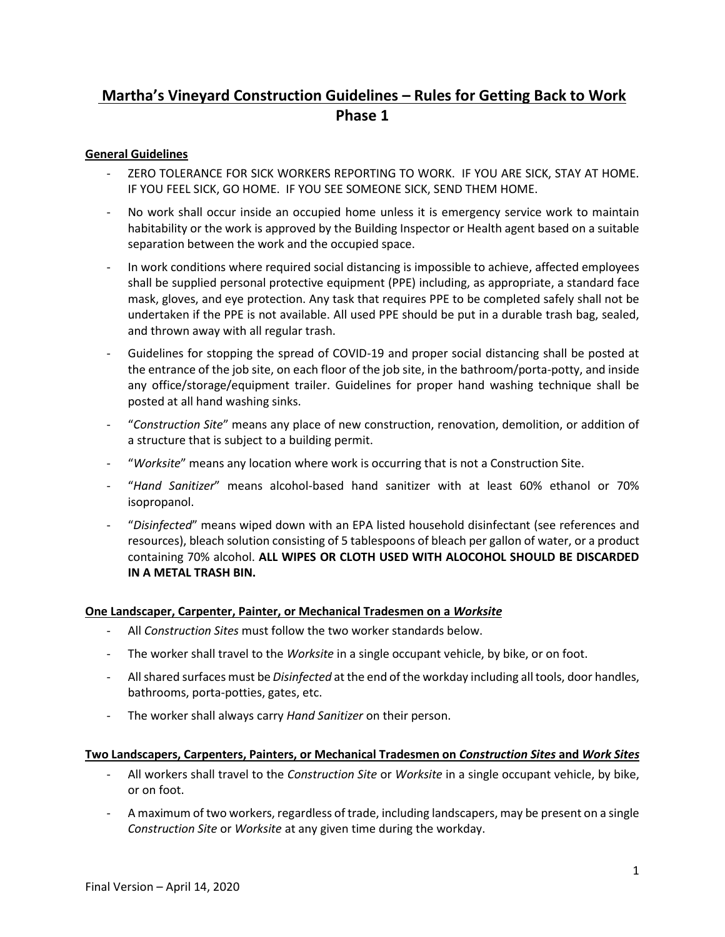# **Martha's Vineyard Construction Guidelines – Rules for Getting Back to Work Phase 1**

## **General Guidelines**

- ZERO TOLERANCE FOR SICK WORKERS REPORTING TO WORK. IF YOU ARE SICK, STAY AT HOME. IF YOU FEEL SICK, GO HOME. IF YOU SEE SOMEONE SICK, SEND THEM HOME.
- No work shall occur inside an occupied home unless it is emergency service work to maintain habitability or the work is approved by the Building Inspector or Health agent based on a suitable separation between the work and the occupied space.
- In work conditions where required social distancing is impossible to achieve, affected employees shall be supplied personal protective equipment (PPE) including, as appropriate, a standard face mask, gloves, and eye protection. Any task that requires PPE to be completed safely shall not be undertaken if the PPE is not available. All used PPE should be put in a durable trash bag, sealed, and thrown away with all regular trash.
- Guidelines for stopping the spread of COVID-19 and proper social distancing shall be posted at the entrance of the job site, on each floor of the job site, in the bathroom/porta-potty, and inside any office/storage/equipment trailer. Guidelines for proper hand washing technique shall be posted at all hand washing sinks.
- "*Construction Site*" means any place of new construction, renovation, demolition, or addition of a structure that is subject to a building permit.
- "*Worksite*" means any location where work is occurring that is not a Construction Site.
- "*Hand Sanitizer*" means alcohol-based hand sanitizer with at least 60% ethanol or 70% isopropanol.
- "*Disinfected*" means wiped down with an EPA listed household disinfectant (see references and resources), bleach solution consisting of 5 tablespoons of bleach per gallon of water, or a product containing 70% alcohol. **ALL WIPES OR CLOTH USED WITH ALOCOHOL SHOULD BE DISCARDED IN A METAL TRASH BIN.**

### **One Landscaper, Carpenter, Painter, or Mechanical Tradesmen on a** *Worksite*

- All *Construction Sites* must follow the two worker standards below.
- The worker shall travel to the *Worksite* in a single occupant vehicle, by bike, or on foot.
- All shared surfaces must be *Disinfected* at the end of the workday including all tools, door handles, bathrooms, porta-potties, gates, etc.
- The worker shall always carry *Hand Sanitizer* on their person.

### **Two Landscapers, Carpenters, Painters, or Mechanical Tradesmen on** *Construction Sites* **and** *Work Sites*

- All workers shall travel to the *Construction Site* or *Worksite* in a single occupant vehicle, by bike, or on foot.
- A maximum of two workers, regardless of trade, including landscapers, may be present on a single *Construction Site* or *Worksite* at any given time during the workday.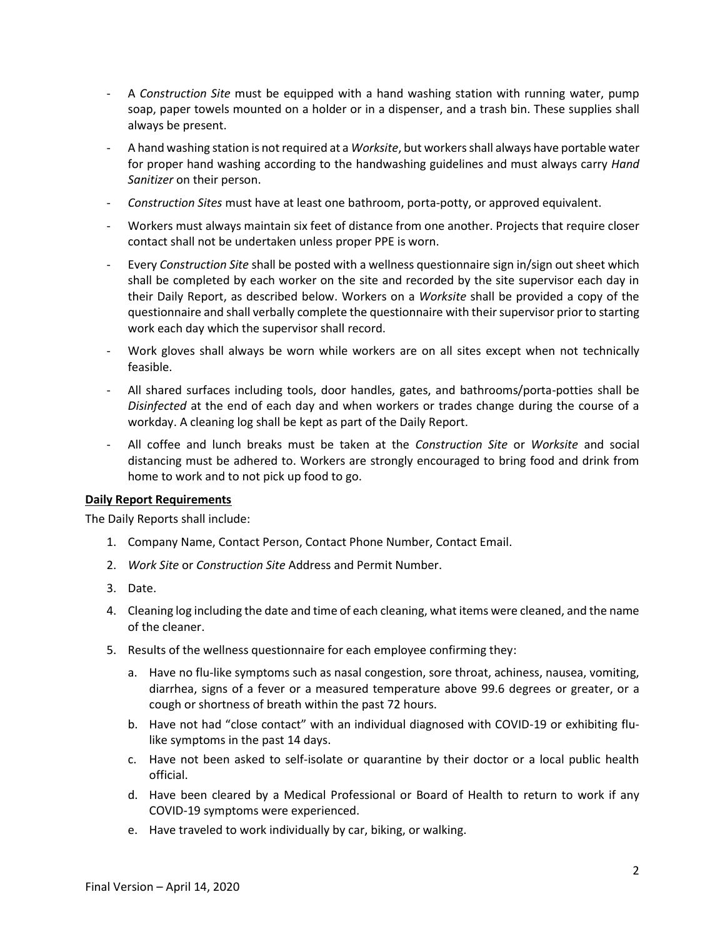- A *Construction Site* must be equipped with a hand washing station with running water, pump soap, paper towels mounted on a holder or in a dispenser, and a trash bin. These supplies shall always be present.
- A hand washing station is not required at a *Worksite*, but workers shall always have portable water for proper hand washing according to the handwashing guidelines and must always carry *Hand Sanitizer* on their person.
- *Construction Sites* must have at least one bathroom, porta-potty, or approved equivalent.
- Workers must always maintain six feet of distance from one another. Projects that require closer contact shall not be undertaken unless proper PPE is worn.
- Every *Construction Site* shall be posted with a wellness questionnaire sign in/sign out sheet which shall be completed by each worker on the site and recorded by the site supervisor each day in their Daily Report, as described below. Workers on a *Worksite* shall be provided a copy of the questionnaire and shall verbally complete the questionnaire with their supervisor prior to starting work each day which the supervisor shall record.
- Work gloves shall always be worn while workers are on all sites except when not technically feasible.
- All shared surfaces including tools, door handles, gates, and bathrooms/porta-potties shall be *Disinfected* at the end of each day and when workers or trades change during the course of a workday. A cleaning log shall be kept as part of the Daily Report.
- All coffee and lunch breaks must be taken at the *Construction Site* or *Worksite* and social distancing must be adhered to. Workers are strongly encouraged to bring food and drink from home to work and to not pick up food to go.

### **Daily Report Requirements**

The Daily Reports shall include:

- 1. Company Name, Contact Person, Contact Phone Number, Contact Email.
- 2. *Work Site* or *Construction Site* Address and Permit Number.
- 3. Date.
- 4. Cleaning log including the date and time of each cleaning, what items were cleaned, and the name of the cleaner.
- 5. Results of the wellness questionnaire for each employee confirming they:
	- a. Have no flu-like symptoms such as nasal congestion, sore throat, achiness, nausea, vomiting, diarrhea, signs of a fever or a measured temperature above 99.6 degrees or greater, or a cough or shortness of breath within the past 72 hours.
	- b. Have not had "close contact" with an individual diagnosed with COVID-19 or exhibiting flulike symptoms in the past 14 days.
	- c. Have not been asked to self-isolate or quarantine by their doctor or a local public health official.
	- d. Have been cleared by a Medical Professional or Board of Health to return to work if any COVID-19 symptoms were experienced.
	- e. Have traveled to work individually by car, biking, or walking.